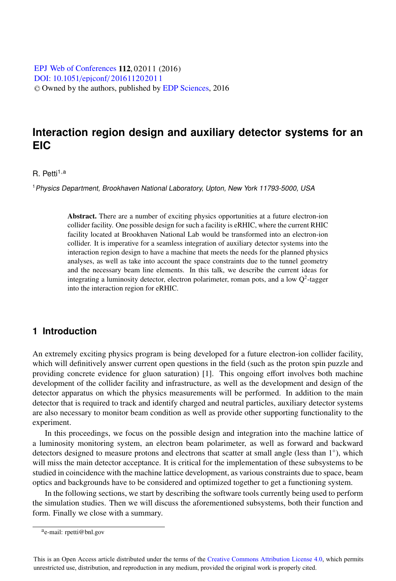[DOI: 10.1051](http://dx.doi.org/10.1051/epjconf/201611202011)/epjconf/201611202011 © Owned by the authors, published by [EDP Sciences](http://www.edpsciences.org), 2016 EPJ Web of [Conferences](http://www.epj-conferences.org) 112, 02011 (2016)

# **Interaction region design and auxiliary detector systems for an EIC**

#### $R.$  Petti<sup>1,a</sup>

<sup>1</sup>Physics Department, Brookhaven National Laboratory, Upton, New York 11793-5000, USA

Abstract. There are a number of exciting physics opportunities at a future electron-ion collider facility. One possible design for such a facility is eRHIC, where the current RHIC facility located at Brookhaven National Lab would be transformed into an electron-ion collider. It is imperative for a seamless integration of auxiliary detector systems into the interaction region design to have a machine that meets the needs for the planned physics analyses, as well as take into account the space constraints due to the tunnel geometry and the necessary beam line elements. In this talk, we describe the current ideas for integrating a luminosity detector, electron polarimeter, roman pots, and a low  $O^2$ -tagger into the interaction region for eRHIC.

### **1 Introduction**

An extremely exciting physics program is being developed for a future electron-ion collider facility, which will definitively answer current open questions in the field (such as the proton spin puzzle and providing concrete evidence for gluon saturation) [1]. This ongoing effort involves both machine development of the collider facility and infrastructure, as well as the development and design of the detector apparatus on which the physics measurements will be performed. In addition to the main detector that is required to track and identify charged and neutral particles, auxiliary detector systems are also necessary to monitor beam condition as well as provide other supporting functionality to the experiment.

In this proceedings, we focus on the possible design and integration into the machine lattice of a luminosity monitoring system, an electron beam polarimeter, as well as forward and backward detectors designed to measure protons and electrons that scatter at small angle (less than 1◦), which will miss the main detector acceptance. It is critical for the implementation of these subsystems to be studied in coincidence with the machine lattice development, as various constraints due to space, beam optics and backgrounds have to be considered and optimized together to get a functioning system.

In the following sections, we start by describing the software tools currently being used to perform the simulation studies. Then we will discuss the aforementioned subsystems, both their function and form. Finally we close with a summary.

ae-mail: rpetti@bnl.gov

This is an Open Access article distributed under the terms of the Creative Commons Attribution License 4.0, which permits unrestricted use, distribution, and reproduction in any medium, provided the original work is properly cited.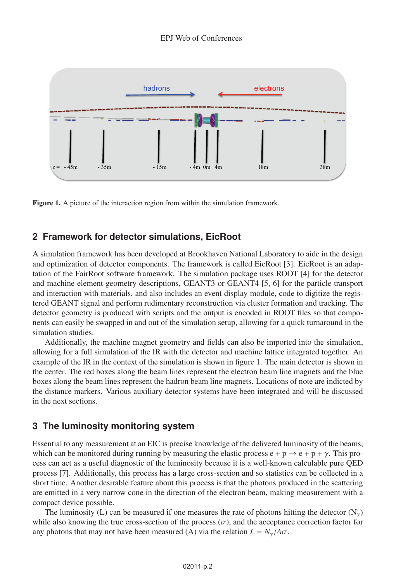

Figure 1. A picture of the interaction region from within the simulation framework.

### **2 Framework for detector simulations, EicRoot**

A simulation framework has been developed at Brookhaven National Laboratory to aide in the design and optimization of detector components. The framework is called EicRoot [3]. EicRoot is an adaptation of the FairRoot software framework. The simulation package uses ROOT [4] for the detector and machine element geometry descriptions, GEANT3 or GEANT4 [5, 6] for the particle transport and interaction with materials, and also includes an event display module, code to digitize the registered GEANT signal and perform rudimentary reconstruction via cluster formation and tracking. The detector geometry is produced with scripts and the output is encoded in ROOT files so that components can easily be swapped in and out of the simulation setup, allowing for a quick turnaround in the simulation studies.

Additionally, the machine magnet geometry and fields can also be imported into the simulation, allowing for a full simulation of the IR with the detector and machine lattice integrated together. An example of the IR in the context of the simulation is shown in figure 1. The main detector is shown in the center. The red boxes along the beam lines represent the electron beam line magnets and the blue boxes along the beam lines represent the hadron beam line magnets. Locations of note are indicted by the distance markers. Various auxiliary detector systems have been integrated and will be discussed in the next sections.

### **3 The luminosity monitoring system**

Essential to any measurement at an EIC is precise knowledge of the delivered luminosity of the beams, which can be monitored during running by measuring the elastic process  $e + p \rightarrow e + p + \gamma$ . This process can act as a useful diagnostic of the luminosity because it is a well-known calculable pure QED process [7]. Additionally, this process has a large cross-section and so statistics can be collected in a short time. Another desirable feature about this process is that the photons produced in the scattering are emitted in a very narrow cone in the direction of the electron beam, making measurement with a compact device possible.

The luminosity (L) can be measured if one measures the rate of photons hitting the detector  $(N_{\gamma})$ while also knowing the true cross-section of the process  $(\sigma)$ , and the acceptance correction factor for any photons that may not have been measured (A) via the relation  $L = N_{\gamma}/A\sigma$ .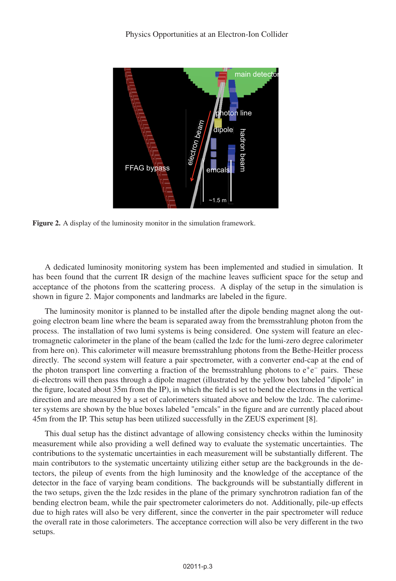

Figure 2. A display of the luminosity monitor in the simulation framework.

A dedicated luminosity monitoring system has been implemented and studied in simulation. It has been found that the current IR design of the machine leaves sufficient space for the setup and acceptance of the photons from the scattering process. A display of the setup in the simulation is shown in figure 2. Major components and landmarks are labeled in the figure.

The luminosity monitor is planned to be installed after the dipole bending magnet along the outgoing electron beam line where the beam is separated away from the bremsstrahlung photon from the process. The installation of two lumi systems is being considered. One system will feature an electromagnetic calorimeter in the plane of the beam (called the lzdc for the lumi-zero degree calorimeter from here on). This calorimeter will measure bremsstrahlung photons from the Bethe-Heitler process directly. The second system will feature a pair spectrometer, with a converter end-cap at the end of the photon transport line converting a fraction of the bremsstrahlung photons to e<sup>+</sup>e<sup>−</sup> pairs. These di-electrons will then pass through a dipole magnet (illustrated by the yellow box labeled "dipole" in the figure, located about 35m from the IP), in which the field is set to bend the electrons in the vertical direction and are measured by a set of calorimeters situated above and below the lzdc. The calorimeter systems are shown by the blue boxes labeled "emcals" in the figure and are currently placed about 45m from the IP. This setup has been utilized successfully in the ZEUS experiment [8].

This dual setup has the distinct advantage of allowing consistency checks within the luminosity measurement while also providing a well defined way to evaluate the systematic uncertainties. The contributions to the systematic uncertainties in each measurement will be substantially different. The main contributors to the systematic uncertainty utilizing either setup are the backgrounds in the detectors, the pileup of events from the high luminosity and the knowledge of the acceptance of the detector in the face of varying beam conditions. The backgrounds will be substantially different in the two setups, given the the lzdc resides in the plane of the primary synchrotron radiation fan of the bending electron beam, while the pair spectrometer calorimeters do not. Additionally, pile-up effects due to high rates will also be very different, since the converter in the pair spectrometer will reduce the overall rate in those calorimeters. The acceptance correction will also be very different in the two setups.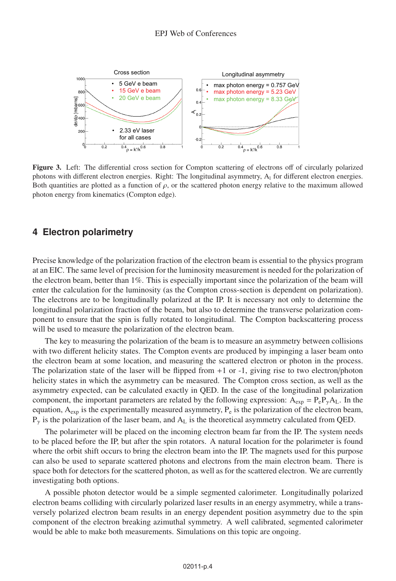

Figure 3. Left: The differential cross section for Compton scattering of electrons off of circularly polarized photons with different electron energies. Right: The longitudinal asymmetry, A<sub>1</sub> for different electron energies. Both quantities are plotted as a function of  $\rho$ , or the scattered photon energy relative to the maximum allowed photon energy from kinematics (Compton edge).

#### **4 Electron polarimetry**

Precise knowledge of the polarization fraction of the electron beam is essential to the physics program at an EIC. The same level of precision for the luminosity measurement is needed for the polarization of the electron beam, better than 1%. This is especially important since the polarization of the beam will enter the calculation for the luminosity (as the Compton cross-section is dependent on polarization). The electrons are to be longitudinally polarized at the IP. It is necessary not only to determine the longitudinal polarization fraction of the beam, but also to determine the transverse polarization component to ensure that the spin is fully rotated to longitudinal. The Compton backscattering process will be used to measure the polarization of the electron beam.

The key to measuring the polarization of the beam is to measure an asymmetry between collisions with two different helicity states. The Compton events are produced by impinging a laser beam onto the electron beam at some location, and measuring the scattered electron or photon in the process. The polarization state of the laser will be flipped from  $+1$  or  $-1$ , giving rise to two electron/photon helicity states in which the asymmetry can be measured. The Compton cross section, as well as the asymmetry expected, can be calculated exactly in QED. In the case of the longitudinal polarization component, the important parameters are related by the following expression:  $A_{\text{exp}} = P_e P_v A_L$ . In the equation,  $A_{exp}$  is the experimentally measured asymmetry,  $P_e$  is the polarization of the electron beam,  $P_{\gamma}$  is the polarization of the laser beam, and  $A_L$  is the theoretical asymmetry calculated from QED.

The polarimeter will be placed on the incoming electron beam far from the IP. The system needs to be placed before the IP, but after the spin rotators. A natural location for the polarimeter is found where the orbit shift occurs to bring the electron beam into the IP. The magnets used for this purpose can also be used to separate scattered photons and electrons from the main electron beam. There is space both for detectors for the scattered photon, as well as for the scattered electron. We are currently investigating both options.

A possible photon detector would be a simple segmented calorimeter. Longitudinally polarized electron beams colliding with circularly polarized laser results in an energy asymmetry, while a transversely polarized electron beam results in an energy dependent position asymmetry due to the spin component of the electron breaking azimuthal symmetry. A well calibrated, segmented calorimeter would be able to make both measurements. Simulations on this topic are ongoing.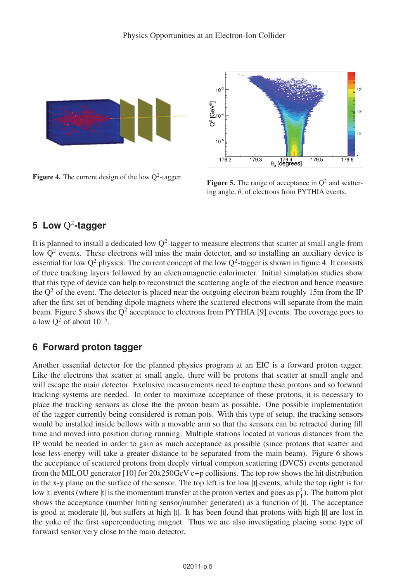

**Figure 4.** The current design of the low  $Q^2$ -tagger.<br>**Figure 5.** The range of acceptance in  $Q^2$  and scatter-



ing angle,  $\theta$ , of electrons from PYTHIA events.

# **5 Low** Q<sup>2</sup>**-tagger**

It is planned to install a dedicated low  $Q^2$ -tagger to measure electrons that scatter at small angle from low  $Q<sup>2</sup>$  events. These electrons will miss the main detector, and so installing an auxiliary device is essential for low  $Q^2$  physics. The current concept of the low  $Q^2$ -tagger is shown in figure 4. It consists of three tracking layers followed by an electromagnetic calorimeter. Initial simulation studies show that this type of device can help to reconstruct the scattering angle of the electron and hence measure the  $Q<sup>2</sup>$  of the event. The detector is placed near the outgoing electron beam roughly 15m from the IP after the first set of bending dipole magnets where the scattered electrons will separate from the main beam. Figure 5 shows the  $Q^2$  acceptance to electrons from PYTHIA [9] events. The coverage goes to a low  $Q^2$  of about  $10^{-5}$ .

## **6 Forward proton tagger**

Another essential detector for the planned physics program at an EIC is a forward proton tagger. Like the electrons that scatter at small angle, there will be protons that scatter at small angle and will escape the main detector. Exclusive measurements need to capture these protons and so forward tracking systems are needed. In order to maximize acceptance of these protons, it is necessary to place the tracking sensors as close the the proton beam as possible. One possible implementation of the tagger currently being considered is roman pots. With this type of setup, the tracking sensors would be installed inside bellows with a movable arm so that the sensors can be retracted during fill time and moved into position during running. Multiple stations located at various distances from the IP would be needed in order to gain as much acceptance as possible (since protons that scatter and lose less energy will take a greater distance to be separated from the main beam). Figure 6 shows the acceptance of scattered protons from deeply virtual compton scattering (DVCS) events generated from the MILOU generator [10] for  $20x250$ GeV e+p collisions. The top row shows the hit distribution in the x-y plane on the surface of the sensor. The top left is for low |t| events, while the top right is for low |t| events (where |t| is the momentum transfer at the proton vertex and goes as  $p_T^2$ ). The bottom plot shows the acceptance (number hitting sensor/number generated) as a function of  $|t|$ . The acceptance is good at moderate |t|, but suffers at high |t|. It has been found that protons with high |t| are lost in the yoke of the first superconducting magnet. Thus we are also investigating placing some type of forward sensor very close to the main detector.